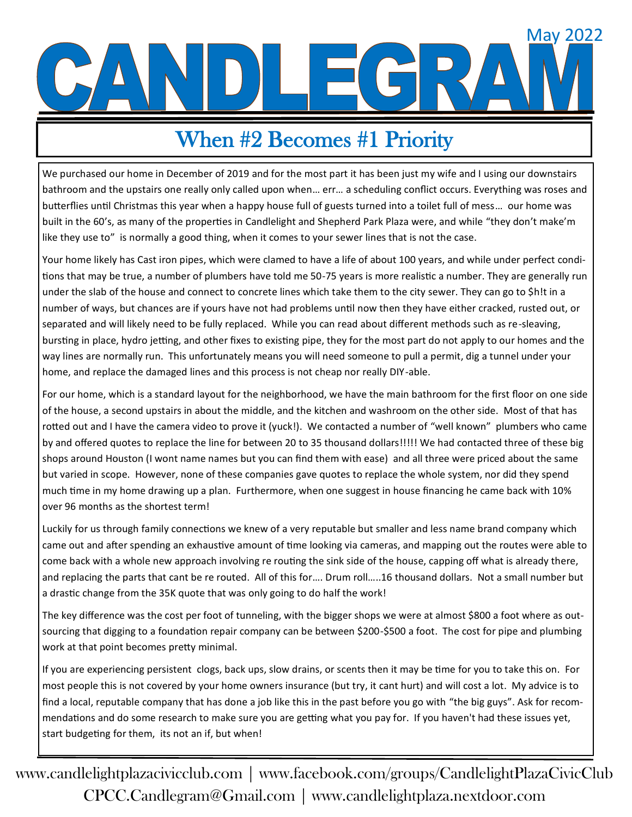# May 2022

# When #2 Becomes #1 Priority

We purchased our home in December of 2019 and for the most part it has been just my wife and I using our downstairs bathroom and the upstairs one really only called upon when… err… a scheduling conflict occurs. Everything was roses and butterflies until Christmas this year when a happy house full of guests turned into a toilet full of mess… our home was built in the 60's, as many of the properties in Candlelight and Shepherd Park Plaza were, and while "they don't make'm like they use to" is normally a good thing, when it comes to your sewer lines that is not the case.

Your home likely has Cast iron pipes, which were clamed to have a life of about 100 years, and while under perfect conditions that may be true, a number of plumbers have told me 50-75 years is more realistic a number. They are generally run under the slab of the house and connect to concrete lines which take them to the city sewer. They can go to \$h!t in a number of ways, but chances are if yours have not had problems until now then they have either cracked, rusted out, or separated and will likely need to be fully replaced. While you can read about different methods such as re-sleaving, bursting in place, hydro jetting, and other fixes to existing pipe, they for the most part do not apply to our homes and the way lines are normally run. This unfortunately means you will need someone to pull a permit, dig a tunnel under your home, and replace the damaged lines and this process is not cheap nor really DIY-able.

For our home, which is a standard layout for the neighborhood, we have the main bathroom for the first floor on one side of the house, a second upstairs in about the middle, and the kitchen and washroom on the other side. Most of that has rotted out and I have the camera video to prove it (yuck!). We contacted a number of "well known" plumbers who came by and offered quotes to replace the line for between 20 to 35 thousand dollars!!!!! We had contacted three of these big shops around Houston (I wont name names but you can find them with ease) and all three were priced about the same but varied in scope. However, none of these companies gave quotes to replace the whole system, nor did they spend much time in my home drawing up a plan. Furthermore, when one suggest in house financing he came back with 10% over 96 months as the shortest term!

Luckily for us through family connections we knew of a very reputable but smaller and less name brand company which came out and after spending an exhaustive amount of time looking via cameras, and mapping out the routes were able to come back with a whole new approach involving re routing the sink side of the house, capping off what is already there, and replacing the parts that cant be re routed. All of this for…. Drum roll…..16 thousand dollars. Not a small number but a drastic change from the 35K quote that was only going to do half the work!

The key difference was the cost per foot of tunneling, with the bigger shops we were at almost \$800 a foot where as outsourcing that digging to a foundation repair company can be between \$200-\$500 a foot. The cost for pipe and plumbing work at that point becomes pretty minimal.

If you are experiencing persistent clogs, back ups, slow drains, or scents then it may be time for you to take this on. For most people this is not covered by your home owners insurance (but try, it cant hurt) and will cost a lot. My advice is to find a local, reputable company that has done a job like this in the past before you go with "the big guys". Ask for recommendations and do some research to make sure you are getting what you pay for. If you haven't had these issues yet, start budgeting for them, its not an if, but when!

www.candlelightplazacivicclub.com | www.facebook.com/groups/CandlelightPlazaCivicClub CPCC.Candlegram@Gmail.com | www.candlelightplaza.nextdoor.com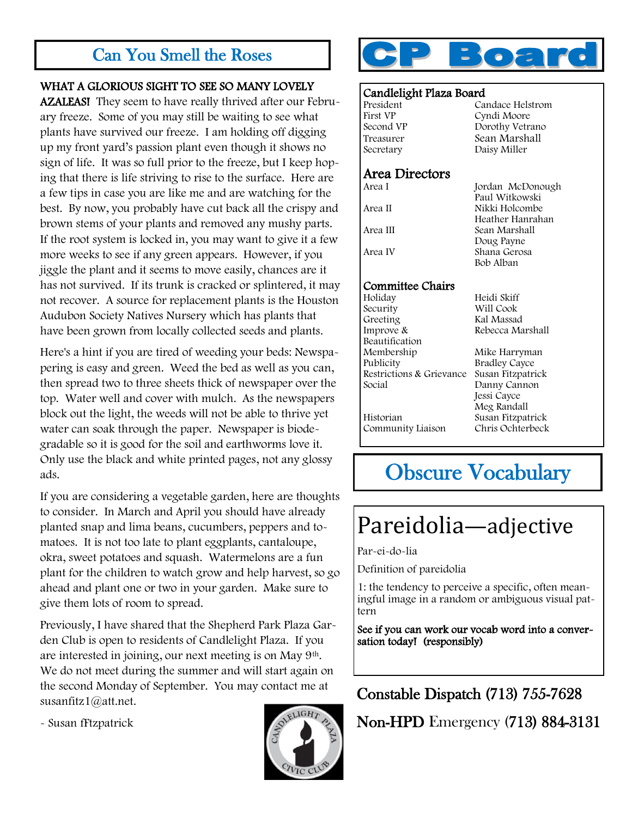## Can You Smell the Roses

#### WHAT A GLORIOUS SIGHT TO SEE SO MANY LOVELY

AZALEAS! They seem to have really thrived after our February freeze. Some of you may still be waiting to see what plants have survived our freeze. I am holding off digging up my front yard's passion plant even though it shows no sign of life. It was so full prior to the freeze, but I keep hoping that there is life striving to rise to the surface. Here are a few tips in case you are like me and are watching for the best. By now, you probably have cut back all the crispy and brown stems of your plants and removed any mushy parts. If the root system is locked in, you may want to give it a few more weeks to see if any green appears. However, if you jiggle the plant and it seems to move easily, chances are it has not survived. If its trunk is cracked or splintered, it may not recover. A source for replacement plants is the Houston Audubon Society Natives Nursery which has plants that have been grown from locally collected seeds and plants.

Here's a hint if you are tired of weeding your beds: Newspapering is easy and green. Weed the bed as well as you can, then spread two to three sheets thick of newspaper over the top. Water well and cover with mulch. As the newspapers block out the light, the weeds will not be able to thrive yet water can soak through the paper. Newspaper is biodegradable so it is good for the soil and earthworms love it. Only use the black and white printed pages, not any glossy ads.

If you are considering a vegetable garden, here are thoughts to consider. In March and April you should have already planted snap and lima beans, cucumbers, peppers and tomatoes. It is not too late to plant eggplants, cantaloupe, okra, sweet potatoes and squash. Watermelons are a fun plant for the children to watch grow and help harvest, so go ahead and plant one or two in your garden. Make sure to give them lots of room to spread.

Previously, I have shared that the Shepherd Park Plaza Garden Club is open to residents of Candlelight Plaza. If you are interested in joining, our next meeting is on May 9th. We do not meet during the summer and will start again on the second Monday of September. You may contact me at susanfitz1@att.net.

- Susan fFtzpatrick





#### Candlelight Plaza Board

| President<br>First VP<br>Second VP<br>Treasurer<br>Secretary | Candace Helstrom<br>Cyndi Moore<br>Dorothy Vetrano<br>Sean Marshall<br>Daisy Miller |
|--------------------------------------------------------------|-------------------------------------------------------------------------------------|
| Area Directors                                               |                                                                                     |
| Area I                                                       | Jordan McDonough<br>Paul Witkowski                                                  |
| Area II                                                      | Nikki Holcombe<br>Heather Hanrahan                                                  |
| Area III                                                     | Sean Marshall<br>Doug Payne                                                         |
| Area IV                                                      | Shana Gerosa<br>Bob Alban                                                           |
| Committee Chairs                                             |                                                                                     |
| Holiday                                                      | Heidi Skiff                                                                         |
| Security                                                     | Will Cook                                                                           |
| Greeting                                                     | Kal Massad                                                                          |
| Improve &                                                    | Rebecca Marshall                                                                    |
| Beautification                                               |                                                                                     |
| Membership                                                   | Mike Harryman                                                                       |
| Publicity                                                    | <b>Bradley Cayce</b>                                                                |
| Restrictions & Grievance                                     | Susan Fitzpatrick                                                                   |
| Social                                                       | Danny Cannon                                                                        |
|                                                              | Jessi Cayce                                                                         |
|                                                              | Meg Randall                                                                         |
| Historian                                                    | Susan Fitzpatrick                                                                   |
| Community Liaison                                            | Chris Ochterbeck                                                                    |
|                                                              |                                                                                     |

## Obscure Vocabulary

## Pareidolia—adjective

Par-ei-do-lia

Definition of pareidolia

1: the tendency to perceive a specific, often meaningful image in a random or ambiguous visual pattern

See if you can work our vocab word into a conversation today! (responsibly)

### Constable Dispatch (713) 755-7628

Non-HPD Emergency (713) 884-3131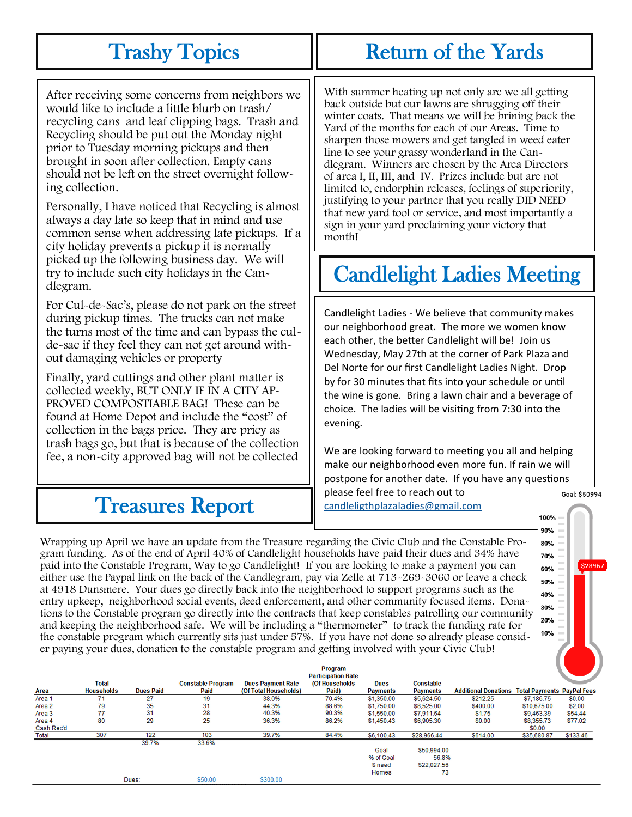## Trashy Topics

After receiving some concerns from neighbors we would like to include a little blurb on trash/ recycling cans and leaf clipping bags. Trash and Recycling should be put out the Monday night prior to Tuesday morning pickups and then brought in soon after collection. Empty cans should not be left on the street overnight following collection.

Personally, I have noticed that Recycling is almost always a day late so keep that in mind and use common sense when addressing late pickups. If a city holiday prevents a pickup it is normally picked up the following business day. We will try to include such city holidays in the Candlegram.

For Cul-de-Sac's, please do not park on the street during pickup times. The trucks can not make the turns most of the time and can bypass the culde-sac if they feel they can not get around without damaging vehicles or property

Finally, yard cuttings and other plant matter is collected weekly, BUT ONLY IF IN A CITY AP-PROVED COMPOSTIABLE BAG! These can be found at Home Depot and include the "cost" of collection in the bags price. They are pricy as trash bags go, but that is because of the collection fee, a non-city approved bag will not be collected

With summer heating up not only are we all getting back outside but our lawns are shrugging off their winter coats. That means we will be brining back the Yard of the months for each of our Areas. Time to sharpen those mowers and get tangled in weed eater line to see your grassy wonderland in the Candlegram. Winners are chosen by the Area Directors of area I, II, III, and IV. Prizes include but are not limited to, endorphin releases, feelings of superiority, justifying to your partner that you really DID NEED that new yard tool or service, and most importantly a sign in your yard proclaiming your victory that month!

# Candlelight Ladies Meeting

Candlelight Ladies - We believe that community makes our neighborhood great. The more we women know each other, the better Candlelight will be! Join us Wednesday, May 27th at the corner of Park Plaza and Del Norte for our first Candlelight Ladies Night. Drop by for 30 minutes that fits into your schedule or until the wine is gone. Bring a lawn chair and a beverage of choice. The ladies will be visiting from 7:30 into the evening.

We are looking forward to meeting you all and helping make our neighborhood even more fun. If rain we will postpone for another date. If you have any questions please feel free to reach out to Goal: \$50994 [candleligthplazaladies@gmail.com](mailto:candleligthplazaladies@gmail.com)

> 100% 90%

> > \$28967

## Treasures Report

Wrapping up April we have an update from the Treasure regarding the Civic Club and the Constable Pro-80% gram funding. As of the end of April 40% of Candlelight households have paid their dues and 34% have 70% paid into the Constable Program, Way to go Candlelight! If you are looking to make a payment you can 60% either use the Paypal link on the back of the Candlegram, pay via Zelle at 713-269-3060 or leave a check 50% at 4918 Dunsmere. Your dues go directly back into the neighborhood to support programs such as the 40% entry upkeep, neighborhood social events, deed enforcement, and other community focused items. Dona-30% tions to the Constable program go directly into the contracts that keep constables patrolling our community 20% and keeping the neighborhood safe. We will be including a "thermometer" to track the funding rate for 10% the constable program which currently sits just under 57%. If you have not done so already please consider paying your dues, donation to the constable program and getting involved with your Civic Club!

|            |                   |                  |                          |                          | Program                   |                 |                  |                                                        |             |          |
|------------|-------------------|------------------|--------------------------|--------------------------|---------------------------|-----------------|------------------|--------------------------------------------------------|-------------|----------|
|            |                   |                  |                          |                          | <b>Participation Rate</b> |                 |                  |                                                        |             |          |
|            | <b>Total</b>      |                  | <b>Constable Program</b> | <b>Dues Payment Rate</b> | (Of Households            | <b>Dues</b>     | <b>Constable</b> |                                                        |             |          |
| Area       | <b>Households</b> | <b>Dues Paid</b> | Paid                     | (Of Total Households)    | Paid)                     | <b>Payments</b> | <b>Payments</b>  | <b>Additional Donations Total Payments PayPal Fees</b> |             |          |
| Area 1     | 71                | 27               | 19                       | 38.0%                    | 70.4%                     | \$1,350.00      | \$5,624.50       | \$212.25                                               | \$7,186.75  | \$0.00   |
| Area 2     | 79                | 35               | 31                       | 44.3%                    | 88.6%                     | \$1,750.00      | \$8,525.00       | \$400.00                                               | \$10,675.00 | \$2.00   |
| Area 3     | 77                | 31               | 28                       | 40.3%                    | 90.3%                     | \$1,550.00      | \$7,911.64       | \$1.75                                                 | \$9,463.39  | \$54.44  |
| Area 4     | 80                | 29               | 25                       | 36.3%                    | 86.2%                     | \$1,450.43      | \$6,905.30       | \$0.00                                                 | \$8,355.73  | \$77.02  |
| Cash Rec'd |                   |                  |                          |                          |                           |                 |                  |                                                        | \$0.00      |          |
| Total      | 307               | 122              | 103                      | 39.7%                    | 84.4%                     | \$6,100.43      | \$28,966.44      | \$614.00                                               | \$35,680.87 | \$133.46 |
|            |                   | 39.7%            | 33.6%                    |                          |                           |                 |                  |                                                        |             |          |
|            |                   |                  |                          |                          |                           | Goal            | \$50,994.00      |                                                        |             |          |
|            |                   |                  |                          |                          |                           | % of Goal       | 56.8%            |                                                        |             |          |
|            |                   |                  |                          |                          |                           | <b>Sneed</b>    | \$22,027.56      |                                                        |             |          |
|            |                   |                  |                          |                          |                           | Homes           | 73               |                                                        |             |          |
|            |                   | Dues:            | \$50.00                  | \$300.00                 |                           |                 |                  |                                                        |             |          |

## Return of the Yards